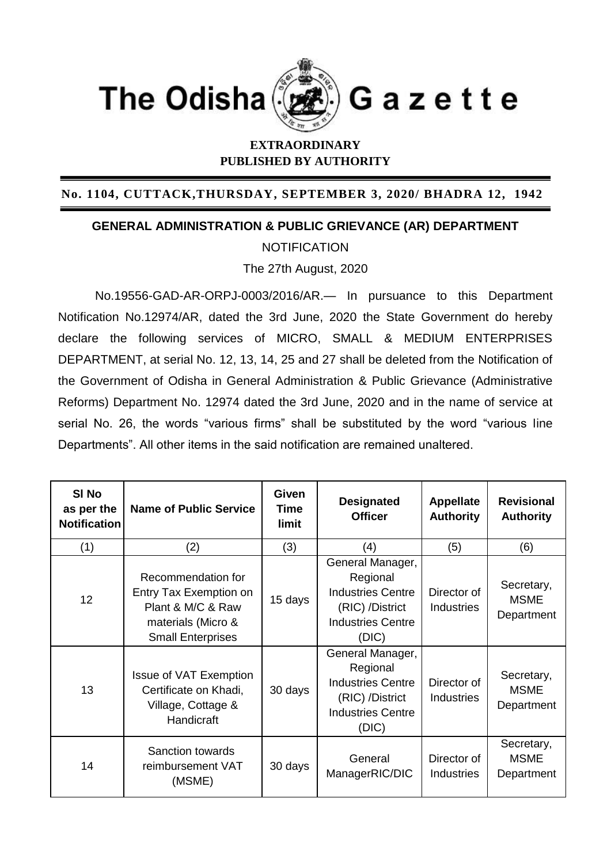

## **EXTRAORDINARY PUBLISHED BY AUTHORITY**

## **No. 1104, CUTTACK,THURSDAY, SEPTEMBER 3, 2020/ BHADRA 12, 1942**

## **GENERAL ADMINISTRATION & PUBLIC GRIEVANCE (AR) DEPARTMENT**

**NOTIFICATION** 

The 27th August, 2020

No.19556-GAD-AR-ORPJ-0003/2016/AR.— In pursuance to this Department Notification No.12974/AR, dated the 3rd June, 2020 the State Government do hereby declare the following services of MICRO, SMALL & MEDIUM ENTERPRISES DEPARTMENT, at serial No. 12, 13, 14, 25 and 27 shall be deleted from the Notification of the Government of Odisha in General Administration & Public Grievance (Administrative Reforms) Department No. 12974 dated the 3rd June, 2020 and in the name of service at serial No. 26, the words "various firms" shall be substituted by the word "various line Departments". All other items in the said notification are remained unaltered.

| SI <sub>No</sub><br>as per the<br><b>Notification</b> | <b>Name of Public Service</b>                                                                                       | <b>Given</b><br><b>Time</b><br>limit | <b>Designated</b><br><b>Officer</b>                                                                              | <b>Appellate</b><br><b>Authority</b> | <b>Revisional</b><br><b>Authority</b>   |
|-------------------------------------------------------|---------------------------------------------------------------------------------------------------------------------|--------------------------------------|------------------------------------------------------------------------------------------------------------------|--------------------------------------|-----------------------------------------|
| (1)                                                   | (2)                                                                                                                 | (3)                                  | (4)                                                                                                              | (5)                                  | (6)                                     |
| 12                                                    | Recommendation for<br>Entry Tax Exemption on<br>Plant & M/C & Raw<br>materials (Micro &<br><b>Small Enterprises</b> | 15 days                              | General Manager,<br>Regional<br><b>Industries Centre</b><br>(RIC) /District<br><b>Industries Centre</b><br>(DIC) | Director of<br><b>Industries</b>     | Secretary,<br><b>MSME</b><br>Department |
| 13                                                    | <b>Issue of VAT Exemption</b><br>Certificate on Khadi,<br>Village, Cottage &<br>Handicraft                          | 30 days                              | General Manager,<br>Regional<br><b>Industries Centre</b><br>(RIC) /District<br><b>Industries Centre</b><br>(DIC) | Director of<br><b>Industries</b>     | Secretary,<br><b>MSME</b><br>Department |
| 14                                                    | <b>Sanction towards</b><br>reimbursement VAT<br>(MSME)                                                              | 30 days                              | General<br>ManagerRIC/DIC                                                                                        | Director of<br><b>Industries</b>     | Secretary,<br><b>MSME</b><br>Department |